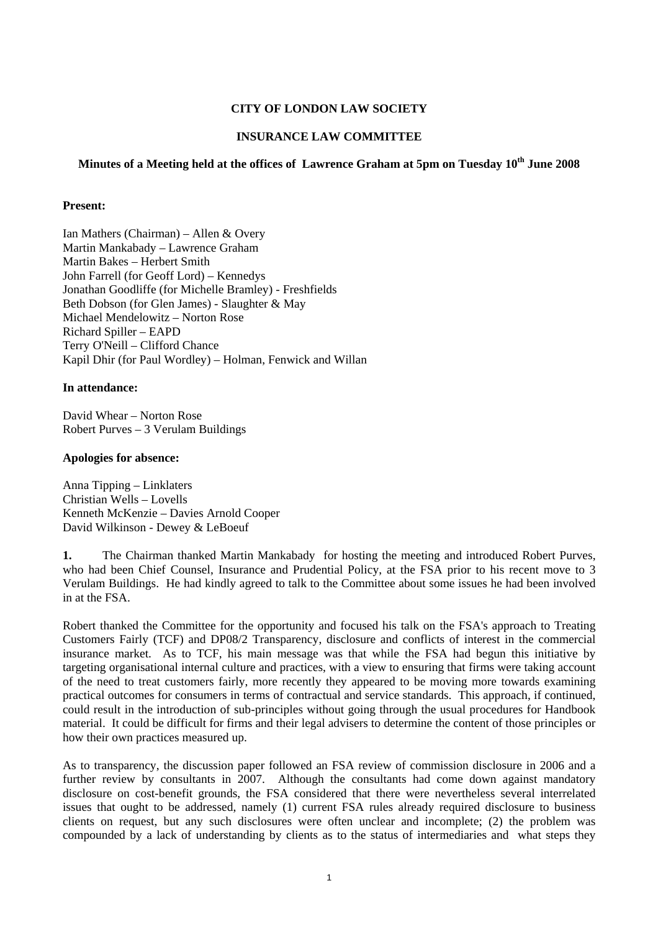### **CITY OF LONDON LAW SOCIETY**

#### **INSURANCE LAW COMMITTEE**

# **Minutes of a Meeting held at the offices of Lawrence Graham at 5pm on Tuesday 10th June 2008**

#### **Present:**

Ian Mathers (Chairman) – Allen & Overy Martin Mankabady – Lawrence Graham Martin Bakes – Herbert Smith John Farrell (for Geoff Lord) – Kennedys Jonathan Goodliffe (for Michelle Bramley) - Freshfields Beth Dobson (for Glen James) - Slaughter & May Michael Mendelowitz – Norton Rose Richard Spiller – EAPD Terry O'Neill – Clifford Chance Kapil Dhir (for Paul Wordley) – Holman, Fenwick and Willan

#### **In attendance:**

David Whear – Norton Rose Robert Purves – 3 Verulam Buildings

#### **Apologies for absence:**

Anna Tipping – Linklaters Christian Wells – Lovells Kenneth McKenzie – Davies Arnold Cooper David Wilkinson - Dewey & LeBoeuf

**1.** The Chairman thanked Martin Mankabady for hosting the meeting and introduced Robert Purves, who had been Chief Counsel, Insurance and Prudential Policy, at the FSA prior to his recent move to 3 Verulam Buildings. He had kindly agreed to talk to the Committee about some issues he had been involved in at the FSA.

Robert thanked the Committee for the opportunity and focused his talk on the FSA's approach to Treating Customers Fairly (TCF) and DP08/2 Transparency, disclosure and conflicts of interest in the commercial insurance market. As to TCF, his main message was that while the FSA had begun this initiative by targeting organisational internal culture and practices, with a view to ensuring that firms were taking account of the need to treat customers fairly, more recently they appeared to be moving more towards examining practical outcomes for consumers in terms of contractual and service standards. This approach, if continued, could result in the introduction of sub-principles without going through the usual procedures for Handbook material. It could be difficult for firms and their legal advisers to determine the content of those principles or how their own practices measured up.

As to transparency, the discussion paper followed an FSA review of commission disclosure in 2006 and a further review by consultants in 2007. Although the consultants had come down against mandatory disclosure on cost-benefit grounds, the FSA considered that there were nevertheless several interrelated issues that ought to be addressed, namely (1) current FSA rules already required disclosure to business clients on request, but any such disclosures were often unclear and incomplete; (2) the problem was compounded by a lack of understanding by clients as to the status of intermediaries and what steps they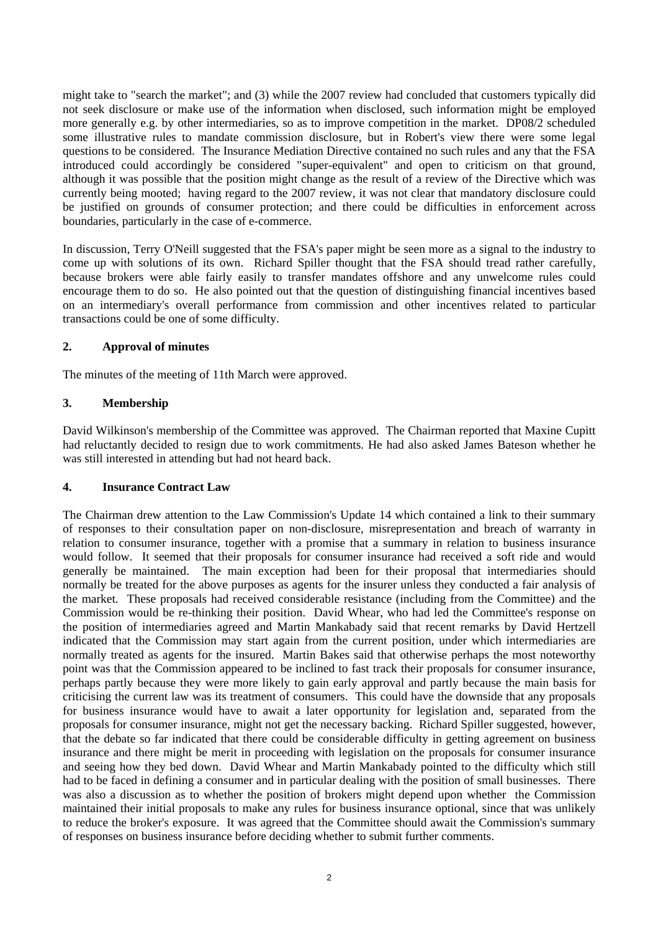might take to "search the market"; and (3) while the 2007 review had concluded that customers typically did not seek disclosure or make use of the information when disclosed, such information might be employed more generally e.g. by other intermediaries, so as to improve competition in the market. DP08/2 scheduled some illustrative rules to mandate commission disclosure, but in Robert's view there were some legal questions to be considered. The Insurance Mediation Directive contained no such rules and any that the FSA introduced could accordingly be considered "super-equivalent" and open to criticism on that ground, although it was possible that the position might change as the result of a review of the Directive which was currently being mooted; having regard to the 2007 review, it was not clear that mandatory disclosure could be justified on grounds of consumer protection; and there could be difficulties in enforcement across boundaries, particularly in the case of e-commerce.

In discussion, Terry O'Neill suggested that the FSA's paper might be seen more as a signal to the industry to come up with solutions of its own. Richard Spiller thought that the FSA should tread rather carefully, because brokers were able fairly easily to transfer mandates offshore and any unwelcome rules could encourage them to do so. He also pointed out that the question of distinguishing financial incentives based on an intermediary's overall performance from commission and other incentives related to particular transactions could be one of some difficulty.

### **2. Approval of minutes**

The minutes of the meeting of 11th March were approved.

### **3. Membership**

David Wilkinson's membership of the Committee was approved. The Chairman reported that Maxine Cupitt had reluctantly decided to resign due to work commitments. He had also asked James Bateson whether he was still interested in attending but had not heard back.

### **4. Insurance Contract Law**

The Chairman drew attention to the Law Commission's Update 14 which contained a link to their summary of responses to their consultation paper on non-disclosure, misrepresentation and breach of warranty in relation to consumer insurance, together with a promise that a summary in relation to business insurance would follow. It seemed that their proposals for consumer insurance had received a soft ride and would generally be maintained. The main exception had been for their proposal that intermediaries should normally be treated for the above purposes as agents for the insurer unless they conducted a fair analysis of the market. These proposals had received considerable resistance (including from the Committee) and the Commission would be re-thinking their position. David Whear, who had led the Committee's response on the position of intermediaries agreed and Martin Mankabady said that recent remarks by David Hertzell indicated that the Commission may start again from the current position, under which intermediaries are normally treated as agents for the insured. Martin Bakes said that otherwise perhaps the most noteworthy point was that the Commission appeared to be inclined to fast track their proposals for consumer insurance, perhaps partly because they were more likely to gain early approval and partly because the main basis for criticising the current law was its treatment of consumers. This could have the downside that any proposals for business insurance would have to await a later opportunity for legislation and, separated from the proposals for consumer insurance, might not get the necessary backing. Richard Spiller suggested, however, that the debate so far indicated that there could be considerable difficulty in getting agreement on business insurance and there might be merit in proceeding with legislation on the proposals for consumer insurance and seeing how they bed down. David Whear and Martin Mankabady pointed to the difficulty which still had to be faced in defining a consumer and in particular dealing with the position of small businesses. There was also a discussion as to whether the position of brokers might depend upon whether the Commission maintained their initial proposals to make any rules for business insurance optional, since that was unlikely to reduce the broker's exposure. It was agreed that the Committee should await the Commission's summary of responses on business insurance before deciding whether to submit further comments.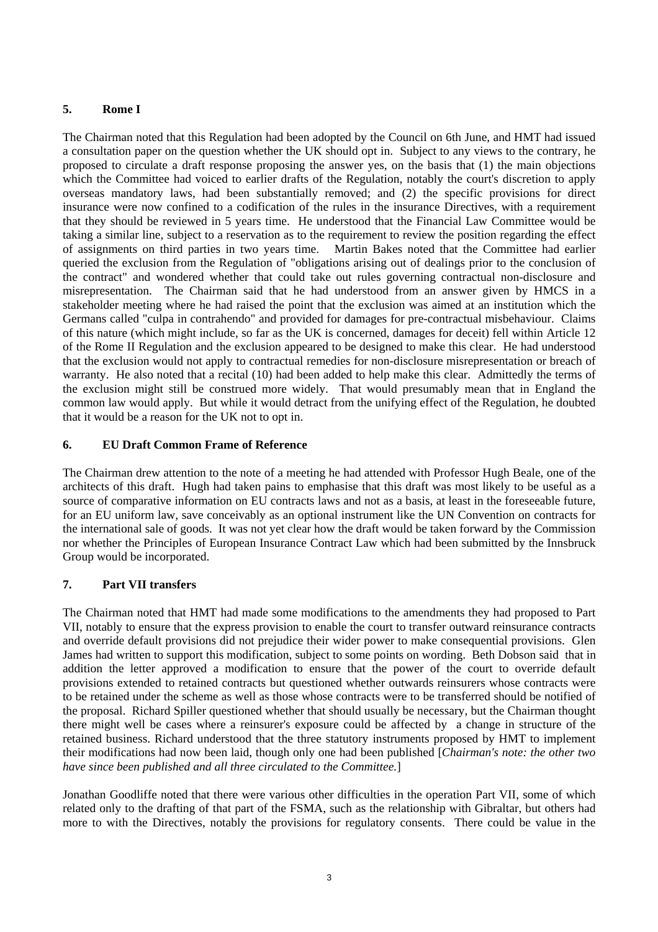# **5. Rome I**

The Chairman noted that this Regulation had been adopted by the Council on 6th June, and HMT had issued a consultation paper on the question whether the UK should opt in. Subject to any views to the contrary, he proposed to circulate a draft response proposing the answer yes, on the basis that (1) the main objections which the Committee had voiced to earlier drafts of the Regulation, notably the court's discretion to apply overseas mandatory laws, had been substantially removed; and (2) the specific provisions for direct insurance were now confined to a codification of the rules in the insurance Directives, with a requirement that they should be reviewed in 5 years time. He understood that the Financial Law Committee would be taking a similar line, subject to a reservation as to the requirement to review the position regarding the effect of assignments on third parties in two years time. Martin Bakes noted that the Committee had earlier queried the exclusion from the Regulation of "obligations arising out of dealings prior to the conclusion of the contract" and wondered whether that could take out rules governing contractual non-disclosure and misrepresentation. The Chairman said that he had understood from an answer given by HMCS in a stakeholder meeting where he had raised the point that the exclusion was aimed at an institution which the Germans called "culpa in contrahendo" and provided for damages for pre-contractual misbehaviour. Claims of this nature (which might include, so far as the UK is concerned, damages for deceit) fell within Article 12 of the Rome II Regulation and the exclusion appeared to be designed to make this clear. He had understood that the exclusion would not apply to contractual remedies for non-disclosure misrepresentation or breach of warranty. He also noted that a recital (10) had been added to help make this clear. Admittedly the terms of the exclusion might still be construed more widely. That would presumably mean that in England the common law would apply. But while it would detract from the unifying effect of the Regulation, he doubted that it would be a reason for the UK not to opt in.

# **6. EU Draft Common Frame of Reference**

The Chairman drew attention to the note of a meeting he had attended with Professor Hugh Beale, one of the architects of this draft. Hugh had taken pains to emphasise that this draft was most likely to be useful as a source of comparative information on EU contracts laws and not as a basis, at least in the foreseeable future, for an EU uniform law, save conceivably as an optional instrument like the UN Convention on contracts for the international sale of goods. It was not yet clear how the draft would be taken forward by the Commission nor whether the Principles of European Insurance Contract Law which had been submitted by the Innsbruck Group would be incorporated.

# **7. Part VII transfers**

The Chairman noted that HMT had made some modifications to the amendments they had proposed to Part VII, notably to ensure that the express provision to enable the court to transfer outward reinsurance contracts and override default provisions did not prejudice their wider power to make consequential provisions. Glen James had written to support this modification, subject to some points on wording. Beth Dobson said that in addition the letter approved a modification to ensure that the power of the court to override default provisions extended to retained contracts but questioned whether outwards reinsurers whose contracts were to be retained under the scheme as well as those whose contracts were to be transferred should be notified of the proposal. Richard Spiller questioned whether that should usually be necessary, but the Chairman thought there might well be cases where a reinsurer's exposure could be affected by a change in structure of the retained business. Richard understood that the three statutory instruments proposed by HMT to implement their modifications had now been laid, though only one had been published [*Chairman's note: the other two have since been published and all three circulated to the Committee.*]

Jonathan Goodliffe noted that there were various other difficulties in the operation Part VII, some of which related only to the drafting of that part of the FSMA, such as the relationship with Gibraltar, but others had more to with the Directives, notably the provisions for regulatory consents. There could be value in the